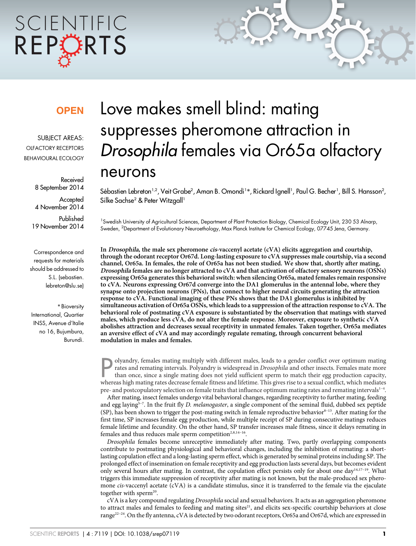# SCIENTIFIC REPORTS

### **OPEN**

SUBJECT AREAS: OLFACTORY RECEPTORS BEHAVIOURAL ECOLOGY

> Received 8 September 2014

**Accepted** 4 November 2014

Published 19 November 2014

Correspondence and requests for materials should be addressed to S.L. (sebastien. lebreton@slu.se)

\* Bioversity International, Quartier INSS, Avenue d'Italie no 16, Bujumbura, Burundi.

## Love makes smell blind: mating suppresses pheromone attraction in Drosophila females via Or65a olfactory neurons

Sébastien Lebreton'<sup>,2</sup>, Veit Grabe<sup>2</sup>, Aman B. Omondi'\*, Rickard Ignell', Paul G. Becher', Bill S. Hansson<sup>2</sup>, Silke Sachse<sup>2</sup> & Peter Witzgall<sup>1</sup>

<sup>1</sup>Swedish University of Agricultural Sciences, Department of Plant Protection Biology, Chemical Ecology Unit, 230 53 Alnarp, Sweden, <sup>2</sup>Department of Evolutionary Neuroethology, Max Planck Institute for Chemical Ecology, 07745 Jena, Germany.

In Drosophila, the male sex pheromone cis-vaccenyl acetate (cVA) elicits aggregation and courtship, through the odorant receptor Or67d. Long-lasting exposure to cVA suppresses male courtship, via a second channel, Or65a. In females, the role of Or65a has not been studied. We show that, shortly after mating, Drosophila females are no longer attracted to cVA and that activation of olfactory sensory neurons (OSNs) expressing Or65a generates this behavioral switch: when silencing Or65a, mated females remain responsive to cVA. Neurons expressing Or67d converge into the DA1 glomerulus in the antennal lobe, where they synapse onto projection neurons (PNs), that connect to higher neural circuits generating the attraction response to cVA. Functional imaging of these PNs shows that the DA1 glomerulus is inhibited by simultaneous activation of Or65a OSNs, which leads to a suppression of the attraction response to cVA. The behavioral role of postmating cVA exposure is substantiated by the observation that matings with starved males, which produce less cVA, do not alter the female response. Moreover, exposure to synthetic cVA abolishes attraction and decreases sexual receptivity in unmated females. Taken together, Or65a mediates an aversive effect of cVA and may accordingly regulate remating, through concurrent behavioral modulation in males and females.

Polyandry, females mating multiply with different males, leads to a gender conflict over optimum mating rates and remating intervals. Polyandry is widespread in *Drosophila* and other insects. Females mate more than once, olyandry, females mating multiply with different males, leads to a gender conflict over optimum mating rates and remating intervals. Polyandry is widespread in Drosophila and other insects. Females mate more than once, since a single mating does not yield sufficient sperm to match their egg production capacity, pre- and postcopulatory selection on female traits that influence optimum mating rates and remating intervals<sup>1-4</sup>.

After mating, insect females undergo vital behavioral changes, regarding receptivity to further mating, feeding and egg laying<sup>5-7</sup>. In the fruit fly D. melanogaster, a single component of the seminal fluid, dubbed sex peptide (SP), has been shown to trigger the post-mating switch in female reproductive behavior $8-13$ . After mating for the first time, SP increases female egg production, while multiple receipt of SP during consecutive matings reduces female lifetime and fecundity. On the other hand, SP transfer increases male fitness, since it delays remating in females and thus reduces male sperm competition<sup>2,8,14-16</sup>.

Drosophila females become unreceptive immediately after mating. Two, partly overlapping components contribute to postmating physiological and behavioral changes, including the inhibition of remating: a shortlasting copulation effect and a long-lasting sperm effect, which is generated by seminal proteins including SP. The prolonged effect of insemination on female receptivity and egg production lasts several days, but becomes evident only several hours after mating. In contrast, the copulation effect persists only for about one day<sup>14,17-19</sup>. What triggers this immediate suppression of receptivity after mating is not known, but the male-produced sex pheromone cis-vaccenyl acetate (cVA) is a candidate stimulus, since it is transferred to the female via the ejaculate together with sperm<sup>20</sup>.

cVA is a key compound regulating Drosophila social and sexual behaviors. It acts as an aggregation pheromone to attract males and females to feeding and mating sites<sup>21</sup>, and elicits sex-specific courtship behaviors at close range<sup>22–24</sup>. On the fly antenna, cVA is detected by two odorant receptors, Or65a and Or67d, which are expressed in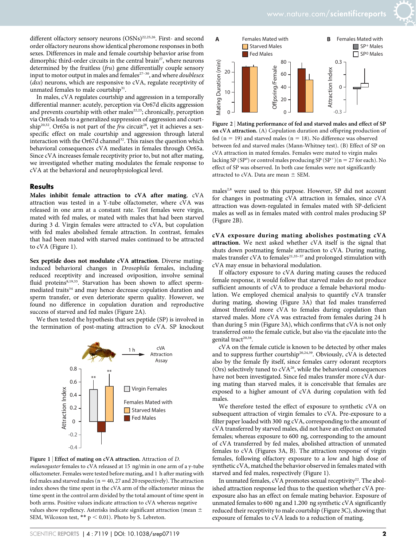different olfactory sensory neurons (OSNs)<sup>22,25,26</sup>. First- and second order olfactory neurons show identical pheromone responses in both sexes. Differences in male and female courtship behavior arise from dimorphic third-order circuits in the central brain<sup>27</sup>, where neurons determined by the fruitless (fru) gene differentially couple sensory input to motor output in males and females<sup>27-30</sup>, and where *doublesex*  $(dsx)$  neurons, which are responsive to cVA, regulate receptivity of unmated females to male courtship<sup>31</sup>.

In males, cVA regulates courtship and aggression in a temporally differential manner: acutely, perception via Or67d elicits aggression and prevents courtship with other males<sup>22,23</sup>; chronically, perception via Or65a leads to a generalized suppression of aggression and courtship<sup>20,32</sup>. Or65a is not part of the *fru* circuit<sup>28</sup>, yet it achieves a sexspecific effect on male courtship and aggression through lateral interaction with the Or67d channel<sup>32</sup>. This raises the question which behavioral consequences cVA mediates in females through Or65a. Since cVA increases female receptivity prior to, but not after mating, we investigated whether mating modulates the female response to cVA at the behavioral and neurophysiological level.

#### **Results**

Males inhibit female attraction to cVA after mating. cVA attraction was tested in a Y-tube olfactometer, where cVA was released in one arm at a constant rate. Test females were virgin, mated with fed males, or mated with males that had been starved during 3 d. Virgin females were attracted to cVA, but copulation with fed males abolished female attraction. In contrast, females that had been mated with starved males continued to be attracted to cVA (Figure 1).

Sex peptide does not modulate cVA attraction. Diverse matinginduced behavioral changes in Drosophila females, including reduced receptivity and increased oviposition, involve seminal fluid proteins<sup>8,19,33</sup>. Starvation has been shown to affect spermmediated traits<sup>34</sup> and may hence decrease copulation duration and sperm transfer, or even deteriorate sperm quality. However, we found no difference in copulation duration and reproductive success of starved and fed males (Figure 2A).

We then tested the hypothesis that sex peptide (SP) is involved in the termination of post-mating attraction to cVA. SP knockout







Figure 2 <sup>|</sup> Mating performance of fed and starved males and effect of SP on cVA attraction. (A) Copulation duration and offspring production of fed (n = 19) and starved males (n = 18). No difference was observed between fed and starved males (Mann-Whitney test). (B) Effect of SP on cVA attraction in mated females. Females were mated to virgin males lacking SP (SP<sup>0</sup>) or control males producing SP (SP<sup>+</sup>)(n = 27 for each). No effect of SP was observed. In both case females were not significantly attracted to cVA. Data are mean  $\pm$  SEM.

males<sup>2,8</sup> were used to this purpose. However, SP did not account for changes in postmating cVA attraction in females, since cVA attraction was down-regulated in females mated with SP-deficient males as well as in females mated with control males producing SP (Figure 2B).

cVA exposure during mating abolishes postmating cVA attraction. We next asked whether cVA itself is the signal that shuts down postmating female attraction to cVA. During mating, males transfer cVA to females<sup>21,35-37</sup> and prolonged stimulation with cVA may ensue in behavioral modulation.

If olfactory exposure to cVA during mating causes the reduced female response, it would follow that starved males do not produce sufficient amounts of cVA to produce a female behavioral modulation. We employed chemical analysis to quantify cVA transfer during mating, showing (Figure 3A) that fed males transferred almost threefold more cVA to females during copulation than starved males. More cVA was extracted from females during 24 h than during 5 min (Figure 3A), which confirms that cVA is not only transferred onto the female cuticle, but also via the ejaculate into the genital tract<sup>20,38</sup>.

cVA on the female cuticle is known to be detected by other males and to suppress further courtship<sup>20,24,39</sup>. Obviously,  $c\vec{VA}$  is detected also by the female fly itself, since females carry odorant receptors (Ors) selectively tuned to  $cVA^{26}$ , while the behavioral consequences have not been investigated. Since fed males transfer more cVA during mating than starved males, it is conceivable that females are exposed to a higher amount of cVA during copulation with fed males.

We therefore tested the effect of exposure to synthetic cVA on subsequent attraction of virgin females to cVA. Pre-exposure to a filter paper loaded with 300 ng cVA, corresponding to the amount of cVA transferred by starved males, did not have an effect on unmated females; whereas exposure to 600 ng, corresponding to the amount of cVA transferred by fed males, abolished attraction of unmated females to cVA (Figures 3A, B). The attraction response of virgin females, following olfactory exposure to a low and high dose of synthetic cVA, matched the behavior observed in females mated with starved and fed males, respectively (Figure 1).

In unmated females, cVA promotes sexual receptivity<sup>22</sup>. The abolished attraction response led thus to the question whether cVA preexposure also has an effect on female mating behavior. Exposure of unmated females to 600 ng and 1.200 ng synthetic cVA significantly reduced their receptivity to male courtship (Figure 3C), showing that exposure of females to cVA leads to a reduction of mating.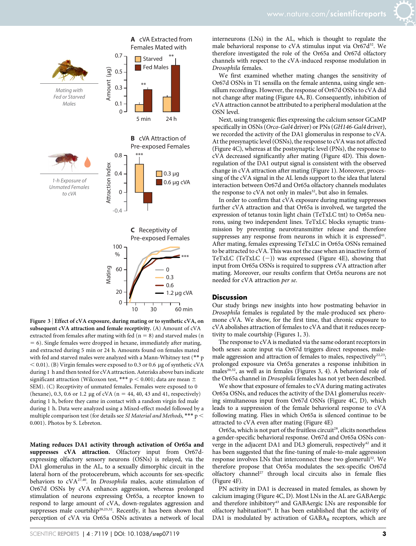

Figure 3 | Effect of cVA exposure, during mating or to synthetic cVA, on subsequent cVA attraction and female receptivity. (A) Amount of cVA extracted from females after mating with fed ( $n = 8$ ) and starved males (n  $= 6$ ). Single females were dropped in hexane, immediately after mating, and extracted during 5 min or 24 h. Amounts found on females mated with fed and starved males were analyzed with a Mann-Whitney test (\*\* p  $<$  0.01). (B) Virgin females were exposed to 0.3 or 0.6 µg of synthetic cVA during 1 h and then tested for cVA attraction. Asterisks above bars indicate significant attraction (Wilcoxon test, \*\*\*  $p < 0.001$ ; data are mean  $\pm$ SEM). (C) Receptivity of unmated females. Females were exposed to 0 (hexane), 0.3, 0.6 or 1.2 µg of cVA ( $n = 44, 40, 43$  and 41, respectively) during 1 h, before they came in contact with a random virgin fed male during 1 h. Data were analyzed using a Mixed-effect model followed by a multiple comparison test (for details see SI Material and Methods, \*\*\*  $\rm p$  < 0.001). Photos by S. Lebreton.

Mating reduces DA1 activity through activation of Or65a and suppresses cVA attraction. Olfactory input from Or67dexpressing olfactory sensory neurons (OSNs) is relayed, via the DA1 glomerulus in the AL, to a sexually dimorphic circuit in the lateral horn of the protocerebrum, which accounts for sex-specific behaviors to  $cVA^{27,40}$ . In Drosophila males, acute stimulation of Or67d OSNs by cVA enhances aggression, whereas prolonged stimulation of neurons expressing Or65a, a receptor known to respond to large amount of cVA, down-regulates aggression and suppresses male courtship<sup>20,23,32</sup>. Recently, it has been shown that perception of cVA via Or65a OSNs activates a network of local

interneurons (LNs) in the AL, which is thought to regulate the male behavioral response to cVA stimulus input via Or67d<sup>32</sup>. We therefore investigated the role of the Or65a and Or67d olfactory channels with respect to the cVA-induced response modulation in Drosophila females.

We first examined whether mating changes the sensitivity of Or67d OSNs in T1 sensilla on the female antenna, using single sensillum recordings. However, the response of Or67d OSNs to cVA did not change after mating (Figure 4A, B). Consequently, inhibition of cVA attraction cannot be attributed to a peripheral modulation at the OSN level.

Next, using transgenic flies expressing the calcium sensor GCaMP specifically in OSNs (Orco-Gal4 driver) or PNs (GH146-Gal4 driver), we recorded the activity of the DA1 glomerulus in response to cVA. At the presynaptic level (OSNs), the response to cVA was not affected (Figure 4C), whereas at the postsynaptic level (PNs), the response to cVA decreased significantly after mating (Figure 4D). This downregulation of the DA1 output signal is consistent with the observed change in cVA attraction after mating (Figure 1). Moreover, processing of the cVA signal in the AL lends support to the idea that lateral interaction between Or67d and Or65a olfactory channels modulates the response to cVA not only in males<sup>32</sup>, but also in females.

In order to confirm that cVA exposure during mating suppresses further cVA attraction and that Or65a is involved, we targeted the expression of tetanus toxin light chain (TeTxLC tnt) to Or65a neurons, using two independent lines. TeTxLC blocks synaptic transmission by preventing neurotransmitter release and therefore suppresses any response from neurons in which it is expressed<sup>41</sup>. After mating, females expressing TeTxLC in Or65a OSNs remained to be attracted to cVA. This was not the case when an inactive form of TeTxLC (TeTxLC  $(-)$ ) was expressed (Figure 4E), showing that input from Or65a OSNs is required to suppress cVA attraction after mating. Moreover, our results confirm that Or65a neurons are not needed for cVA attraction per se.

#### **Discussion**

Our study brings new insights into how postmating behavior in Drosophila females is regulated by the male-produced sex pheromone cVA. We show, for the first time, that chronic exposure to cVA abolishes attraction of females to cVA and that it reduces receptivity to male courtship (Figures 1, 3).

The response to cVA is mediated via the same odorant receptors in both sexes: acute input via Or67d triggers direct responses, malemale aggression and attraction of females to males, respectively<sup>22,23</sup>; prolonged exposure via Or65a generates a response inhibition in males $20,32$ , as well as in females (Figures 3, 4). A behavioral role of the Or65a channel in Drosophila females has not yet been described.

We show that exposure of females to cVA during mating activates Or65a OSNs, and reduces the activity of the DA1 glomerulus receiving simultaneous input from Or67d OSNs (Figure 4C, D), which leads to a suppression of the female behavioral response to cVA following mating. Flies in which Or65a is silenced continue to be attracted to cVA even after mating (Figure 4E)

Or65a, which is not part of the fruitless circuit<sup>28</sup>, elicits nonetheless a gender-specific behavioral response. Or67d and Or65a OSNs converge in the adjacent DA1 and DL3 glomeruli, respectively<sup>42</sup> and it has been suggested that the fine-tuning of male-to-male aggression response involves LNs that interconnect these two glomeruli<sup>32</sup>. We therefore propose that Or65a modulates the sex-specific Or67d olfactory channel<sup>27</sup> through local circuits also in female flies (Figure 4F).

PN activity in DA1 is decreased in mated females, as shown by calcium imaging (Figure 4C, D). Most LNs in the AL are GABAergic and therefore inhibitory<sup>43</sup> and GABAergic LNs are responsible for olfactory habituation<sup>44</sup>. It has been established that the activity of DA1 is modulated by activation of  $GABA_B$  receptors, which are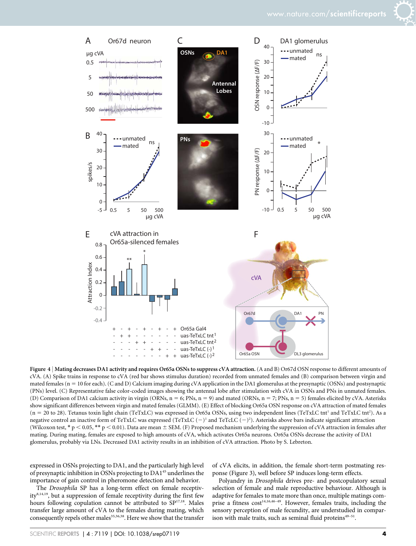

Figure 4 | Mating decreases DA1 activity and requires Or65a OSNs to suppress cVA attraction. (A and B) Or67d OSN response to different amounts of cVA. (A) Spike trains in response to cVA (red bar shows stimulus duration) recorded from unmated females and (B) comparison between virgin and mated females ( $n = 10$  for each). (C and D) Calcium imaging during cVA application in the DA1 glomerulus at the presynaptic (OSNs) and postsynaptic (PNs) level. (C) Representative false color-coded images showing the antennal lobe after stimulation with cVA in OSNs and PNs in unmated females. (D) Comparison of DA1 calcium activity in virgin (ORNs,  $n = 6$ ; PNs,  $n = 9$ ) and mated (ORNs,  $n = 7$ ; PNs,  $n = 5$ ) females elicited by cVA. Asterisks show significant differences between virgin and mated females (GLMM). (E) Effect of blocking Or65a OSN response on cVA attraction of mated females (n = 20 to 28). Tetanus toxin light chain (TeTxLC) was expressed in Or65a OSNs, using two independent lines (TeTxLC tnt<sup>1</sup> and TeTxLC tnt<sup>2</sup>). As a negative control an inactive form of TeTxLC was expressed (TeTxLC  $(-)^{1}$  and TeTcLC  $(-)^{2}$ ). Asterisks above bars indicate significant attraction (Wilcoxon test, \* p < 0.05, \*\* p < 0.01). Data are mean  $\pm$  SEM. (F) Proposed mechanism underlying the suppression of cVA attraction in females after mating. During mating, females are exposed to high amounts of cVA, which activates Or65a neurons. Or65a OSNs decrease the activity of DA1 glomerulus, probably via LNs. Decreased DA1 activity results in an inhibition of cVA attraction. Photo by S. Lebreton.

expressed in OSNs projecting to DA1, and the particularly high level of presynaptic inhibition in OSNs projecting to DA145 underlines the importance of gain control in pheromone detection and behavior.

of cVA elicits, in addition, the female short-term postmating response (Figure 3), well before SP induces long-term effects.

The Drosophila SP has a long-term effect on female receptivity<sup>8,14,19</sup>, but a suppression of female receptivity during the first few hours following copulation cannot be attributed to  $SP<sup>17,18</sup>$ . Males transfer large amount of cVA to the females during mating, which consequently repels other males<sup>35,36,38</sup>. Here we show that the transfer

Polyandry in Drosophila drives pre- and postcopulatory sexual selection of female and male reproductive behaviour. Although is adaptive for females to mate more than once, multiple matings comprise a fitness cost<sup>14,16,46-49</sup>. However, females traits, including the sensory perception of male fecundity, are understudied in comparison with male traits, such as seminal fluid proteins<sup>49-51</sup>.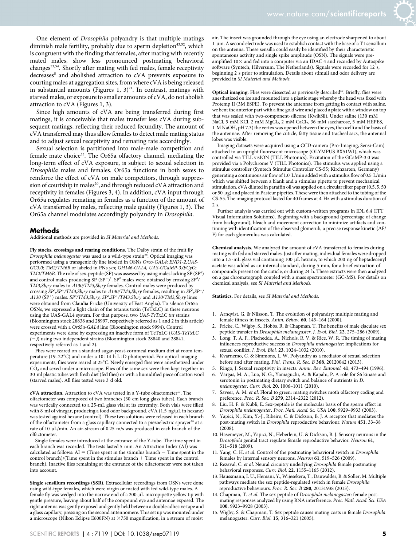One element of Drosophila polyandry is that multiple matings diminish male fertility, probably due to sperm depletion<sup>43,52</sup>, which is congruent with the finding that females, after mating with recently mated males, show less pronounced postmating behavioral changes<sup>53,54</sup>. Shortly after mating with fed males, female receptivity decreases<sup>8</sup> and abolished attraction to cVA prevents exposure to courting males at aggregation sites, from where cVA is being released in substantial amounts (Figures 1,  $3)^{21}$ . In contrast, matings with starved males, or exposure to smaller amounts of cVA, do not abolish attraction to cVA (Figures 1, 3).

Since high amounts of cVA are being transferred during first matings, it is conceivable that males transfer less cVA during subsequent matings, reflecting their reduced fecundity. The amount of cVA transferred may thus allow females to detect male mating status and to adjust sexual receptivity and remating rate accordingly.

Sexual selection is partitioned into male-male competition and female mate choice<sup>55</sup>. The Or65a olfactory channel, mediating the long-term effect of cVA exposure, is subject to sexual selection in Drosophila males and females. Or65a functions in both sexes to reinforce the effect of cVA on male competitors, through suppression of courtship in males<sup>20</sup>, and through reduced cVA attraction and receptivity in females (Figures 3, 4). In addition, cVA input through Or65a regulates remating in females as a function of the amount of cVA transferred by males, reflecting male quality (Figures 1, 3). The Or65a channel modulates accordingly polyandry in Drosophila.

#### Methods

Additional methods are provided in SI Material and Methods.

Fly stocks, crossings and rearing conditions. The Dalby strain of the fruit fly Drosophila melanogaster was used as a wild-type strain<sup>56</sup>. Optical imaging was performed using a transgenic fly line labeled in OSNs Orco-GAL4; END1-2, UAS-GC3.0; TM2/TM6B or labeled in PNs  $y\omega$ ; GH146-GAL4, UAS-GCaMP-3.0/C $y$ O; TM2/TM6B. The role of sex-peptide (SP) was assessed by using males lacking SP (SP<sup>0</sup>) and control males producing SP (SP<sup>+</sup>)<sup>2</sup>. SP<sup>0</sup> males were obtained by crossing SP<sup>0</sup>/ TM3, Sb,ry males to  $\triangle$ 130/TM3, Sb,ry females. Control males were produced by crossing SPº,SP<sup>+</sup>/TM3,Sb,ry males to  $\triangle$ 130/TM3,Sb,ry females, resulting in SPº,SP<sup>+</sup>/  $\Delta$ 130 (SP<sup>+</sup>) males. SP<sup>o</sup>/TM3,Sb,ry, SP<sup>o</sup>,SP<sup>+</sup>/TM3,Sb,ry and  $\Delta$ 130/TM3,Sb,ry lines were obtained from Claudia Fricke (University of East Anglia). To silence Or65a OSNs, we expressed a light chain of the tetanus toxin (TeTxLC) in these neurons using the UAS-GAL4 system. For that purpose, two UAS-TeTxLC tnt strains (Bloomington stock 28838 and 28997, respectively referred as 1 and 2 in this article) were crossed with a Or65a-GAL4 line (Bloomington stock 9994). Control experiments were done by expressing an inactive form of TeTxLC (UAS-TeTxLC  $(-)$ ) using two independent strains (Bloomington stock 28840 and 28841, respectively referred as 1 and 2).

Flies were reared on a standard sugar-yeast-cornmeal medium diet at room temperature (19–22°C) and under a 10:14 h L:D photoperiod. For optical imaging experiments, flies were reared at 25°C. Newly emerged flies were anesthetized under  $CO<sub>2</sub>$  and sexed under a microscope. Flies of the same sex were then kept together in 30 ml plastic tubes with fresh diet (fed flies) or with a humidified piece of cotton wool (starved males). All flies tested were 3 d old.

cVA attraction. Attraction to cVA was tested in a Y-tube olfactometer<sup>57</sup>. The olfactometer was composed of two branches (30 cm long glass tubes). Each branch was vertically connected to a 25-mL glass vial at its extremity. Both vials were filled with 8 ml of vinegar, producing a food odor background. cVA (1.5 ng/µL in hexane) was tested against hexane (control). These two solutions were released in each branch of the olfactometer from a glass capillary connected to a piezoelectric sprayer  $\rm ^{58}$  at a rate of 10  $\mu$ L/min. An air-stream of 0.25 m/s was produced in each branch of the olfactometer.

Single females were introduced at the entrance of the Y-tube. The time spent in each branch was recorded. The tests lasted 5 min. An Attraction Index (AI) was calculated as follows:  $AI =$  (Time spent in the stimulus branch  $-$  Time spent in the  $control branch)/(Time spent in the stimulus branch + Time spent in the control$ branch). Inactive flies remaining at the entrance of the olfactometer were not taken into account.

Single sensillum recordings (SSR). Extracellular recordings from OSNs were done using wild-type females, which were virgin or mated with fed wild-type males. A female fly was wedged into the narrow end of a 200-µL micropipette yellow tip with gentle pressure, leaving about half of the compound eye and antennae exposed. The right antenna was gently exposed and gently held between a double adhesive tape and a glass capillary, pressing on the second antennomere. This set up was mounted under a microscope (Nikon Eclipse E600FN) at  $\times$ 750 magnification, in a stream of moist

air. The insect was grounded through the eye using an electrode sharpened to about 1 um. A second electrode was used to establish contact with the base of a T1 sensillum on the antenna. These sensilla could easily be identified by their characteristic spontaneous activity and single spike amplitude (OSN). The signals were preamplified  $10\times$  and fed into a computer via an IDAC 4 and recorded by Autospike software (Syntech, Hilversum, The Netherlands). Signals were recorded for 12 s, beginning 2 s prior to stimulation. Details about stimuli and odor delivery are provided in SI Material and Methods.

Optical imaging. Flies were dissected as previously described<sup>59</sup>. Briefly, flies were anesthetized on ice and mounted into a plastic stage whereby the head was fixed with Protemp II (3M ESPE). To prevent the antennae from getting in contact with saline, we bent the anterior part with a fine gold wire and placed a plate with a window on top that was sealed with two-component-silicone (KwikSil). Under saline (130 mM NaCl, 5 mM KCl, 2 mM MgCl<sub>2</sub>, 2 mM CaCl<sub>2</sub>, 36 mM saccharose, 5 mM HEPES, 1 M NaOH, pH 7.3) the vertex was opened between the eyes, the ocelli and the basis of the antennae. After removing the cuticle, fatty tissue and tracheal sacs, the antennal lobes was visible.

Imaging datasets were acquired using a CCD-camera (Pro-Imaging, Sensi-Cam) attached to an upright fluorescent microscope (OLYMPUS BX51WI), which was controlled via TILL visION (TILL Photonics). Excitation of the GCaMP-3.0 was provided via a Polychrome V (TILL Photonics). The stimulus was applied using a stimulus controller (Syntech Stimulus Controller CS-55; Kirchzarten, Germany) generating a continuous air flow of 1.0 L/min added with a stimulus flow of 0.5 L/min which was shifted between a blank and a stimulus pipette to prevent mechanical stimulation. cVA diluted in paraffin oil was applied on a circular filter paper (0.5, 5, 50 or 50 mg) and placed in Pasteur pipettes. These were then attached to the tubing of the CS-55. The imaging protocol lasted for 40 frames at 4 Hz with a stimulus duration of 2 s.

Further analysis was carried out with custom-written programs in IDL 6.4 (ITT Visual Information Solutions). Beginning with a background (percentage of change from background), bleach and movement correction to minimize artifacts and continuing with identification of the observed glomeruli, a precise response kinetic  $(\Delta F/m)$ F) for each glomerulus was calculated.

Chemical analysis. We analyzed the amount of cVA transferred to females during mating with fed and starved males. Just after mating, individual females were dropped into a 1.5-mL glass vial containing 100 µL hexane, to which 200 ng of heptadecenyl acetate was added as an internal standard, during 5 min, for a brief extraction of compounds present on the cuticle, or during 24 h. These extracts were then analyzed on a gas chromatograph coupled with a mass spectrometer (GC-MS). For details on chemical analysis, see SI Material and Methods.

Statistics. For details, see SI Material and Methods.

- 1. Arnqvist, G. & Nilsson, T. The evolution of polyandry: multiple mating and female fitness in insects. Anim. Behav. 60, 145–164 (2000).
- 2. Fricke, C., Wigby, S., Hobbs, R. & Chapman, T. The benefits of male ejaculate sex peptide transfer in Drosophila melanogaster. J. Evol. Biol. 22, 275–286 (2009).
- 3. Long, T. A. F., Pischedda, A., Nichols, R. V. & Rice, W. R. The timing of mating influences reproductive success in Drosophila melanogaster: implications for sexual conflict. J. Evol. Biol. 23, 1024–1032 (2010).
- 4. Kvarnemo, C. & Simmons, L. W. Polyandry as a mediator of sexual selection before and after mating. Phil. Trans. R. Soc. B 368, 20120042 (2013).
- 5. Ringo, J. Sexual receptivity in insects. Annu. Rev. Entomol. 41, 473–494 (1996).
- 6. Vargas, M. A., Luo, N. G., Yamaguchi, A. & Kapahi, P. A role for S6 kinase and serotonin in postmating dietary switch and balance of nutrients in D. melanogaster. Curr. Biol. 20, 1006–1011 (2010).
- 7. Saveer, A. M. et al. Floral to green: mating switches moth olfactory coding and preference. Proc. R. Soc. B 279, 2314–2322 (2012).
- Liu, H. F. & Kubli, E. Sex-peptide is the molecular basis of the sperm effect in Drosophila melanogaster. Proc. Natl. Acad. Sc. USA 100, 9929–9933 (2003).
- 9. Yapici, N., Kim, Y.-J., Ribeiro, C. & Dickson, B. J. A receptor that mediates the post-mating switch in Drosophila reproductive behaviour. Nature 451, 33–38  $(2008)$ .
- 10. Hasemeyer, M., Yapici, N., Heberlein, U. & Dickson, B. J. Sensory neurons in the Drosophila genital tract regulate female reproductive behavior. Neuron 61, 511–518 (2009).
- 11. Yang, C. H. et al. Control of the postmating behavioral switch in Drosophila females by internal sensory neurons. Neuron 61, 519-526 (2009)
- 12. Rezaval, C. et al. Neural circuitry underlying Drosophila female postmating behavioral responses. Curr. Biol. 22, 1155–1165 (2012).
- 13. Haussmann, I. U., Hemani, Y., Wijesekera, T., Dauwalder, B. & Soller, M. Multiple pathways mediate the sex peptide-regulated switch in female Drosophila reproductive behaviours. Proc. R. Soc. B 280, 20131938 (2013).
- 14. Chapman, T. et al. The sex peptide of Drosophila melanogaster: female postmating responses analyzed by using RNA interference. Proc. Natl. Acad. Sci. USA 100, 9923–9928 (2003).
- 15. Wigby, S. & Chapman, T. Sex peptide causes mating costs in female Drosophila melanogaster. Curr. Biol. 15, 316–321 (2005).